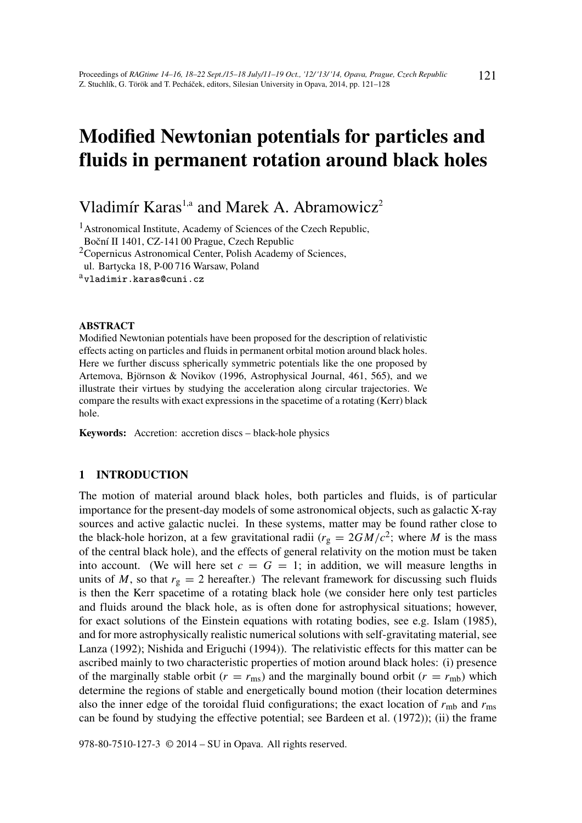# Modified Newtonian potentials for particles and fluids in permanent rotation around black holes

Vladimír Karas<sup>1,a</sup> and Marek A. Abramowicz<sup>2</sup>

<sup>1</sup>Astronomical Institute, Academy of Sciences of the Czech Republic, Boční II 1401, CZ-141 00 Prague, Czech Republic

<sup>2</sup>Copernicus Astronomical Center, Polish Academy of Sciences,

ul. Bartycka 18, P-00 716 Warsaw, Poland

avladimir.karas@cuni.cz

#### ABSTRACT

Modified Newtonian potentials have been proposed for the description of relativistic effects acting on particles and fluids in permanent orbital motion around black holes. Here we further discuss spherically symmetric potentials like the one proposed by Artemova, Björnson & Novikov (1996, Astrophysical Journal, 461, 565), and we illustrate their virtues by studying the acceleration along circular trajectories. We compare the results with exact expressions in the spacetime of a rotating (Kerr) black hole.

Keywords: Accretion: accretion discs – black-hole physics

## 1 INTRODUCTION

The motion of material around black holes, both particles and fluids, is of particular importance for the present-day models of some astronomical objects, such as galactic X-ray sources and active galactic nuclei. In these systems, matter may be found rather close to the black-hole horizon, at a few gravitational radii  $(r_g = 2GM/c^2)$ ; where *M* is the mass of the central black hole), and the effects of general relativity on the motion must be taken into account. (We will here set  $c = G = 1$ ; in addition, we will measure lengths in units of *M*, so that  $r_g = 2$  hereafter.) The relevant framework for discussing such fluids is then the Kerr spacetime of a rotating black hole (we consider here only test particles and fluids around the black hole, as is often done for astrophysical situations; however, for exact solutions of the Einstein equations with rotating bodies, see e.g. Islam (1985), and for more astrophysically realistic numerical solutions with self-gravitating material, see Lanza (1992); Nishida and Eriguchi (1994)). The relativistic effects for this matter can be ascribed mainly to two characteristic properties of motion around black holes: (i) presence of the marginally stable orbit ( $r = r_{\text{ms}}$ ) and the marginally bound orbit ( $r = r_{\text{mb}}$ ) which determine the regions of stable and energetically bound motion (their location determines also the inner edge of the toroidal fluid configurations; the exact location of  $r_{\rm mb}$  and  $r_{\rm ms}$ can be found by studying the effective potential; see Bardeen et al. (1972)); (ii) the frame

978-80-7510-127-3 © 2014 – SU in Opava. All rights reserved.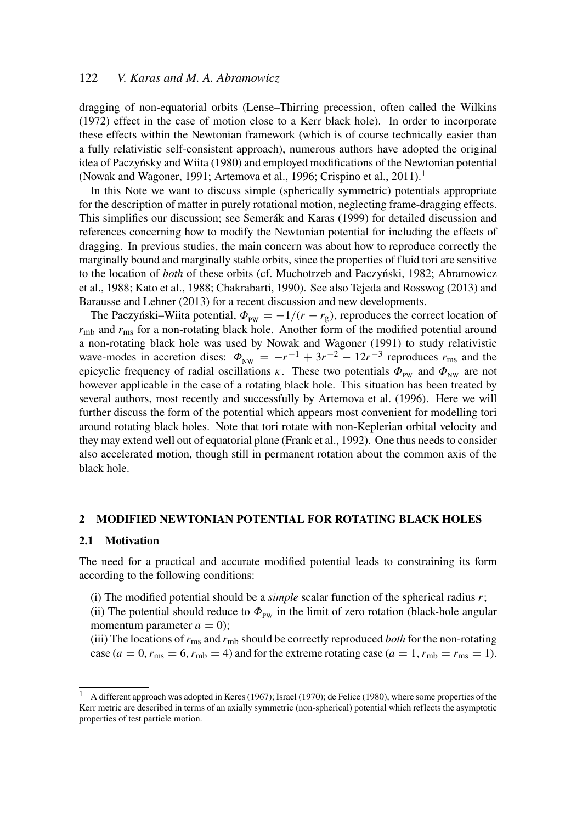# 122 *V. Karas and M. A. Abramowicz*

dragging of non-equatorial orbits (Lense–Thirring precession, often called the Wilkins (1972) effect in the case of motion close to a Kerr black hole). In order to incorporate these effects within the Newtonian framework (which is of course technically easier than a fully relativistic self-consistent approach), numerous authors have adopted the original idea of Paczyńsky and Wiita (1980) and employed modifications of the Newtonian potential (Nowak and Wagoner, 1991; Artemova et al., 1996; Crispino et al., 2011).<sup>1</sup>

In this Note we want to discuss simple (spherically symmetric) potentials appropriate for the description of matter in purely rotational motion, neglecting frame-dragging effects. This simplifies our discussion; see Semerák and Karas (1999) for detailed discussion and references concerning how to modify the Newtonian potential for including the effects of dragging. In previous studies, the main concern was about how to reproduce correctly the marginally bound and marginally stable orbits, since the properties of fluid tori are sensitive to the location of *both* of these orbits (cf. Muchotrzeb and Paczyński, 1982; Abramowicz et al., 1988; Kato et al., 1988; Chakrabarti, 1990). See also Tejeda and Rosswog (2013) and Barausse and Lehner (2013) for a recent discussion and new developments.

The Paczyński–Wiita potential,  $\Phi_{\text{pw}} = -1/(r - r_{\text{g}})$ , reproduces the correct location of  $r<sub>mb</sub>$  and  $r<sub>ms</sub>$  for a non-rotating black hole. Another form of the modified potential around a non-rotating black hole was used by Nowak and Wagoner (1991) to study relativistic wave-modes in accretion discs:  $\Phi_{NW} = -r^{-1} + 3r^{-2} - 12r^{-3}$  reproduces  $r_{ms}$  and the epicyclic frequency of radial oscillations κ. These two potentials  $\Phi_{\text{pw}}$  and  $\Phi_{\text{NW}}$  are not however applicable in the case of a rotating black hole. This situation has been treated by several authors, most recently and successfully by Artemova et al. (1996). Here we will further discuss the form of the potential which appears most convenient for modelling tori around rotating black holes. Note that tori rotate with non-Keplerian orbital velocity and they may extend well out of equatorial plane (Frank et al., 1992). One thus needs to consider also accelerated motion, though still in permanent rotation about the common axis of the black hole.

## 2 MODIFIED NEWTONIAN POTENTIAL FOR ROTATING BLACK HOLES

#### 2.1 Motivation

The need for a practical and accurate modified potential leads to constraining its form according to the following conditions:

(i) The modified potential should be a *simple* scalar function of the spherical radius *r*;

(ii) The potential should reduce to  $\Phi_{\text{pw}}$  in the limit of zero rotation (black-hole angular momentum parameter  $a = 0$ );

(iii) The locations of*r*ms and *r*mb should be correctly reproduced *both* for the non-rotating case ( $a = 0$ ,  $r_{\text{ms}} = 6$ ,  $r_{\text{mb}} = 4$ ) and for the extreme rotating case ( $a = 1$ ,  $r_{\text{mb}} = r_{\text{ms}} = 1$ ).

<sup>&</sup>lt;sup>1</sup> A different approach was adopted in Keres (1967); Israel (1970); de Felice (1980), where some properties of the Kerr metric are described in terms of an axially symmetric (non-spherical) potential which reflects the asymptotic properties of test particle motion.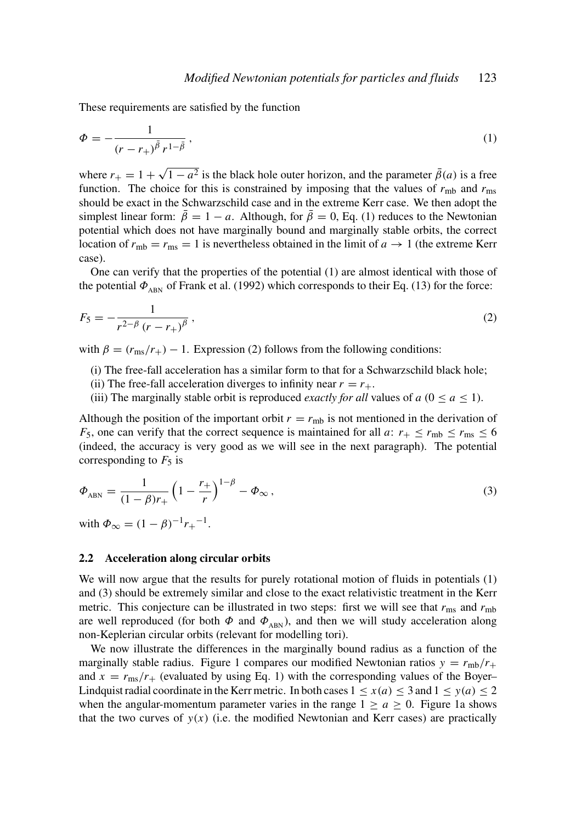These requirements are satisfied by the function

$$
\Phi = -\frac{1}{(r - r_+)^{\bar{\beta}} r^{1 - \bar{\beta}}},\tag{1}
$$

where  $r_{+} = 1 +$ √  $\sqrt{1-a^2}$  is the black hole outer horizon, and the parameter  $\bar{\beta}(a)$  is a free function. The choice for this is constrained by imposing that the values of  $r_{\rm mb}$  and  $r_{\rm ms}$ should be exact in the Schwarzschild case and in the extreme Kerr case. We then adopt the simplest linear form:  $\beta = 1 - a$ . Although, for  $\beta = 0$ , Eq. (1) reduces to the Newtonian potential which does not have marginally bound and marginally stable orbits, the correct location of  $r_{\rm mb} = r_{\rm ms} = 1$  is nevertheless obtained in the limit of  $a \to 1$  (the extreme Kerr case).

One can verify that the properties of the potential (1) are almost identical with those of the potential  $\Phi_{ABN}$  of Frank et al. (1992) which corresponds to their Eq. (13) for the force:

$$
F_5 = -\frac{1}{r^{2-\beta} (r - r_+)^{\beta}},\tag{2}
$$

with  $\beta = (r_{\rm ms}/r_{+}) - 1$ . Expression (2) follows from the following conditions:

(i) The free-fall acceleration has a similar form to that for a Schwarzschild black hole;

- (ii) The free-fall acceleration diverges to infinity near  $r = r_{+}$ .
- (iii) The marginally stable orbit is reproduced *exactly for all* values of  $a$  ( $0 \le a \le 1$ ).

Although the position of the important orbit  $r = r_{\rm mb}$  is not mentioned in the derivation of *F*<sub>5</sub>, one can verify that the correct sequence is maintained for all *a*:  $r_{+} \le r_{\rm mb} \le r_{\rm ms} \le 6$ (indeed, the accuracy is very good as we will see in the next paragraph). The potential corresponding to  $F_5$  is

$$
\Phi_{ABN} = \frac{1}{(1 - \beta)r_+} \left(1 - \frac{r_+}{r}\right)^{1 - \beta} - \Phi_{\infty},
$$
\n(3)

with  $\Phi_{\infty} = (1 - \beta)^{-1} r_{+}^{-1}$ .

#### 2.2 Acceleration along circular orbits

We will now argue that the results for purely rotational motion of fluids in potentials (1) and (3) should be extremely similar and close to the exact relativistic treatment in the Kerr metric. This conjecture can be illustrated in two steps: first we will see that  $r_{\text{ms}}$  and  $r_{\text{mb}}$ are well reproduced (for both  $\Phi$  and  $\Phi$ <sub>ABN</sub>), and then we will study acceleration along non-Keplerian circular orbits (relevant for modelling tori).

We now illustrate the differences in the marginally bound radius as a function of the marginally stable radius. Figure 1 compares our modified Newtonian ratios  $y = r_{\text{mb}}/r_{+}$ and  $x = r_{\text{ms}}/r_{+}$  (evaluated by using Eq. 1) with the corresponding values of the Boyer– Lindquist radial coordinate in the Kerr metric. In both cases  $1 \le x(a) \le 3$  and  $1 \le y(a) \le 2$ when the angular-momentum parameter varies in the range  $1 \ge a \ge 0$ . Figure 1a shows that the two curves of  $y(x)$  (i.e. the modified Newtonian and Kerr cases) are practically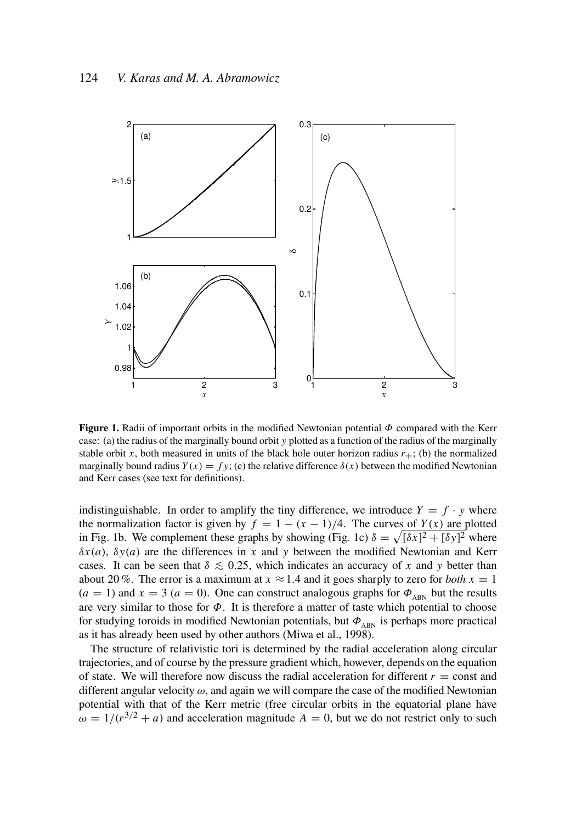

**Figure 1.** Radii of important orbits in the modified Newtonian potential  $\Phi$  compared with the Kerr case: (a) the radius of the marginally bound orbit *y* plotted as a function of the radius of the marginally stable orbit *x*, both measured in units of the black hole outer horizon radius  $r_{+}$ ; (b) the normalized marginally bound radius  $Y(x) = fy$ ; (c) the relative difference  $\delta(x)$  between the modified Newtonian and Kerr cases (see text for definitions).

indistinguishable. In order to amplify the tiny difference, we introduce  $Y = f \cdot y$  where the normalization factor is given by  $f = 1 - (x - 1)/4$ . The curves of  $Y(x)$  are plotted in Fig. 1b. We complement these graphs by showing (Fig. 1c)  $\delta = \sqrt{[\delta x]^2 + [\delta y]^2}$  where  $\delta x(a)$ ,  $\delta y(a)$  are the differences in *x* and *y* between the modified Newtonian and Kerr cases. It can be seen that  $\delta \lesssim 0.25$ , which indicates an accuracy of *x* and *y* better than about 20 %. The error is a maximum at  $x \approx 1.4$  and it goes sharply to zero for *both*  $x = 1$  $(a = 1)$  and  $x = 3$   $(a = 0)$ . One can construct analogous graphs for  $\Phi_{ABN}$  but the results are very similar to those for  $\Phi$ . It is therefore a matter of taste which potential to choose for studying toroids in modified Newtonian potentials, but  $\Phi_{ABN}$  is perhaps more practical as it has already been used by other authors (Miwa et al., 1998).

The structure of relativistic tori is determined by the radial acceleration along circular trajectories, and of course by the pressure gradient which, however, depends on the equation of state. We will therefore now discuss the radial acceleration for different  $r =$  const and different angular velocity  $\omega$ , and again we will compare the case of the modified Newtonian potential with that of the Kerr metric (free circular orbits in the equatorial plane have  $\omega = 1/(r^{3/2} + a)$  and acceleration magnitude  $A = 0$ , but we do not restrict only to such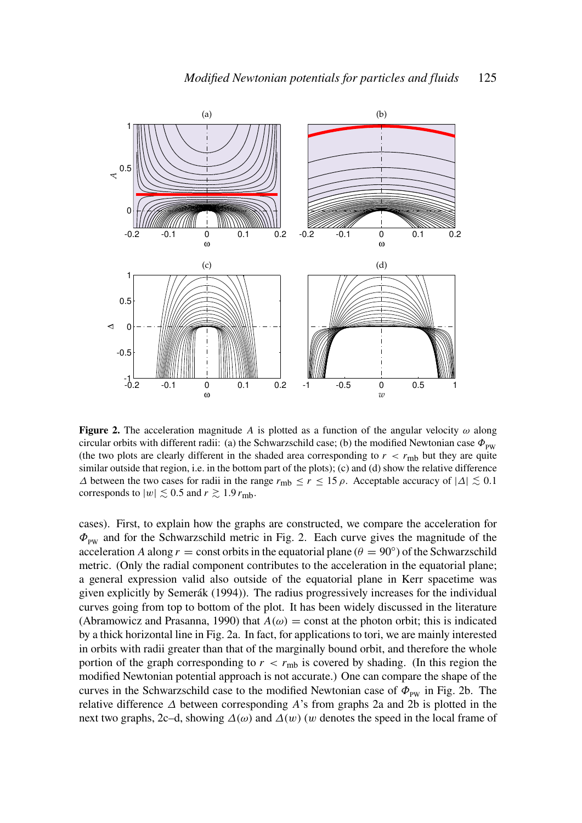

**Figure 2.** The acceleration magnitude *A* is plotted as a function of the angular velocity  $\omega$  along circular orbits with different radii: (a) the Schwarzschild case; (b) the modified Newtonian case  $\Phi_{\text{pw}}$ (the two plots are clearly different in the shaded area corresponding to  $r < r<sub>mb</sub>$  but they are quite similar outside that region, i.e. in the bottom part of the plots); (c) and (d) show the relative difference  $\Delta$  between the two cases for radii in the range  $r_{\text{mb}} \le r \le 15 \rho$ . Acceptable accuracy of  $|\Delta| \lesssim 0.1$ corresponds to  $|w| \lesssim 0.5$  and  $r \gtrsim 1.9 r_{\text{mb}}$ .

cases). First, to explain how the graphs are constructed, we compare the acceleration for  $\Phi_{\text{pw}}$  and for the Schwarzschild metric in Fig. 2. Each curve gives the magnitude of the acceleration *A* along  $r =$  const orbits in the equatorial plane ( $\theta = 90^\circ$ ) of the Schwarzschild metric. (Only the radial component contributes to the acceleration in the equatorial plane; a general expression valid also outside of the equatorial plane in Kerr spacetime was given explicitly by Semerák (1994)). The radius progressively increases for the individual curves going from top to bottom of the plot. It has been widely discussed in the literature (Abramowicz and Prasanna, 1990) that  $A(\omega) = \text{const}$  at the photon orbit; this is indicated by a thick horizontal line in Fig. 2a. In fact, for applications to tori, we are mainly interested in orbits with radii greater than that of the marginally bound orbit, and therefore the whole portion of the graph corresponding to  $r < r_{\text{mb}}$  is covered by shading. (In this region the modified Newtonian potential approach is not accurate.) One can compare the shape of the curves in the Schwarzschild case to the modified Newtonian case of  $\Phi_{\text{pw}}$  in Fig. 2b. The relative difference ∆ between corresponding *A*'s from graphs 2a and 2b is plotted in the next two graphs, 2c–d, showing  $\Delta(\omega)$  and  $\Delta(w)$  (w denotes the speed in the local frame of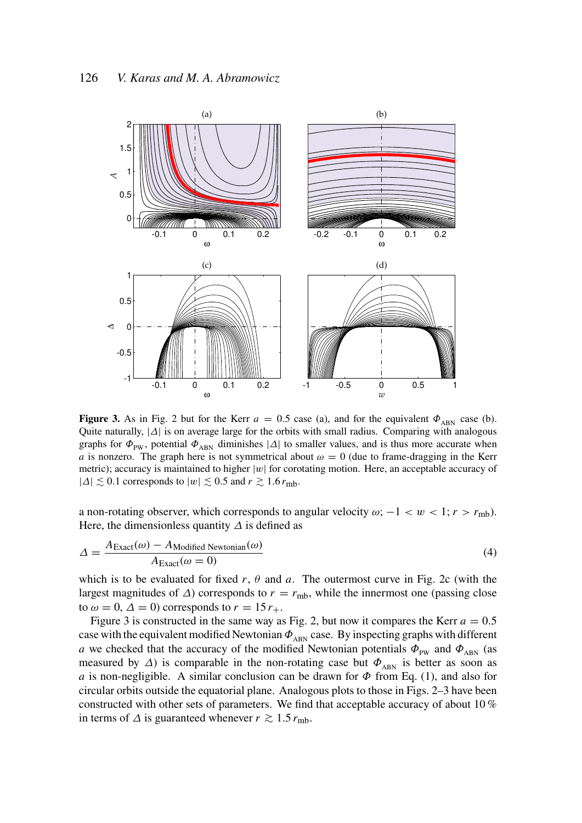

**Figure 3.** As in Fig. 2 but for the Kerr  $a = 0.5$  case (a), and for the equivalent  $\Phi_{\text{ARN}}$  case (b). Quite naturally, |∆| is on average large for the orbits with small radius. Comparing with analogous graphs for  $\Phi_{PW}$ , potential  $\Phi_{ABN}$  diminishes  $|\Delta|$  to smaller values, and is thus more accurate when *a* is nonzero. The graph here is not symmetrical about  $\omega = 0$  (due to frame-dragging in the Kerr metric); accuracy is maintained to higher  $|w|$  for corotating motion. Here, an acceptable accuracy of |∆|  $\leq$  0.1 corresponds to  $|w| \leq 0.5$  and  $r \gtrsim 1.6 r_{\text{mb}}$ .

a non-rotating observer, which corresponds to angular velocity  $\omega$ ;  $-1 < w < 1$ ;  $r > r_{\text{mb}}$ ). Here, the dimensionless quantity  $\Delta$  is defined as

$$
\Delta = \frac{A_{\text{Exact}}(\omega) - A_{\text{Modified Newtonian}}(\omega)}{A_{\text{Exact}}(\omega = 0)}
$$
(4)

which is to be evaluated for fixed  $r$ ,  $\theta$  and  $a$ . The outermost curve in Fig. 2c (with the largest magnitudes of  $\Delta$ ) corresponds to  $r = r_{\text{mb}}$ , while the innermost one (passing close to  $\omega = 0$ ,  $\Delta = 0$ ) corresponds to  $r = 15 r_{+}$ .

Figure 3 is constructed in the same way as Fig. 2, but now it compares the Kerr  $a = 0.5$ case with the equivalent modified Newtonian  $\Phi_{ABN}$  case. By inspecting graphs with different *a* we checked that the accuracy of the modified Newtonian potentials  $\Phi_{\text{pw}}$  and  $\Phi_{\text{ABN}}$  (as measured by  $\Delta$ ) is comparable in the non-rotating case but  $\Phi_{ABN}$  is better as soon as *a* is non-negligible. A similar conclusion can be drawn for  $\Phi$  from Eq. (1), and also for circular orbits outside the equatorial plane. Analogous plots to those in Figs. 2–3 have been constructed with other sets of parameters. We find that acceptable accuracy of about 10 % in terms of  $\Delta$  is guaranteed whenever  $r \gtrsim 1.5 r_{\text{mb}}$ .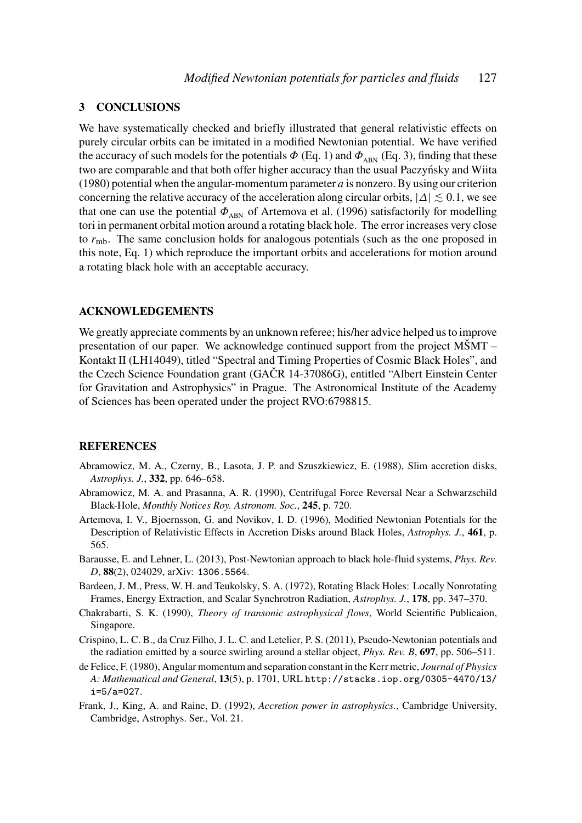## 3 CONCLUSIONS

We have systematically checked and briefly illustrated that general relativistic effects on purely circular orbits can be imitated in a modified Newtonian potential. We have verified the accuracy of such models for the potentials  $\Phi$  (Eq. 1) and  $\Phi_{ABN}$  (Eq. 3), finding that these two are comparable and that both offer higher accuracy than the usual Paczynsky and Wiita ´ (1980) potential when the angular-momentum parameter *a* is nonzero. By using our criterion concerning the relative accuracy of the acceleration along circular orbits,  $|\Delta| \lesssim 0.1$ , we see that one can use the potential  $\Phi_{ABN}$  of Artemova et al. (1996) satisfactorily for modelling tori in permanent orbital motion around a rotating black hole. The error increases very close to *r*mb. The same conclusion holds for analogous potentials (such as the one proposed in this note, Eq. 1) which reproduce the important orbits and accelerations for motion around a rotating black hole with an acceptable accuracy.

## ACKNOWLEDGEMENTS

We greatly appreciate comments by an unknown referee; his/her advice helped us to improve presentation of our paper. We acknowledge continued support from the project MŠMT – Kontakt II (LH14049), titled "Spectral and Timing Properties of Cosmic Black Holes", and the Czech Science Foundation grant (GAČR 14-37086G), entitled "Albert Einstein Center for Gravitation and Astrophysics" in Prague. The Astronomical Institute of the Academy of Sciences has been operated under the project RVO:6798815.

## REFERENCES

- Abramowicz, M. A., Czerny, B., Lasota, J. P. and Szuszkiewicz, E. (1988), Slim accretion disks, *Astrophys. J.*, 332, pp. 646–658.
- Abramowicz, M. A. and Prasanna, A. R. (1990), Centrifugal Force Reversal Near a Schwarzschild Black-Hole, *Monthly Notices Roy. Astronom. Soc.*, 245, p. 720.
- Artemova, I. V., Bjoernsson, G. and Novikov, I. D. (1996), Modified Newtonian Potentials for the Description of Relativistic Effects in Accretion Disks around Black Holes, *Astrophys. J.*, 461, p. 565.
- Barausse, E. and Lehner, L. (2013), Post-Newtonian approach to black hole-fluid systems, *Phys. Rev. D*, 88(2), 024029, arXiv: 1306.5564.
- Bardeen, J. M., Press, W. H. and Teukolsky, S. A. (1972), Rotating Black Holes: Locally Nonrotating Frames, Energy Extraction, and Scalar Synchrotron Radiation, *Astrophys. J.*, 178, pp. 347–370.
- Chakrabarti, S. K. (1990), *Theory of transonic astrophysical flows*, World Scientific Publicaion, Singapore.
- Crispino, L. C. B., da Cruz Filho, J. L. C. and Letelier, P. S. (2011), Pseudo-Newtonian potentials and the radiation emitted by a source swirling around a stellar object, *Phys. Rev. B*, 697, pp. 506–511.
- de Felice, F. (1980), Angular momentum and separation constant in the Kerr metric, *Journal of Physics A: Mathematical and General*, 13(5), p. 1701, URL http://stacks.iop.org/0305-4470/13/ i=5/a=027.
- Frank, J., King, A. and Raine, D. (1992), *Accretion power in astrophysics.*, Cambridge University, Cambridge, Astrophys. Ser., Vol. 21.